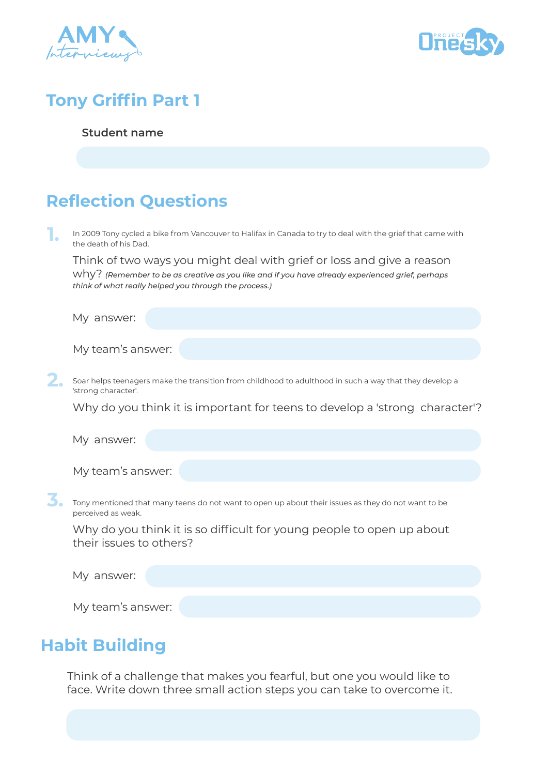



# **Tony Griffin Part 1**

#### **Student name**

# **Reflection Questions**

In 2009 Tony cycled a bike from Vancouver to Halifax in Canada to try to deal with the grief that came with the death of his Dad. **1.**

Think of two ways you might deal with grief or loss and give a reason why? *(Remember to be as creative as you like and if you have already experienced grief, perhaps think of what really helped you through the process.)*

My answer:

My team's answer:

**2.** Soar helps teenagers make the transition from childhood to adulthood in such a way that they develop a 'strong character'.

Why do you think it is important for teens to develop a 'strong character'?

My answer:

My team's answer:

**3.** Tony mentioned that many teens do not want to open up about their issues as they do not want to be perceived as weak.

Why do you think it is so difficult for young people to open up about their issues to others?

My answer:

My team's answer:

### **Habit Building**

Think of a challenge that makes you fearful, but one you would like to face. Write down three small action steps you can take to overcome it.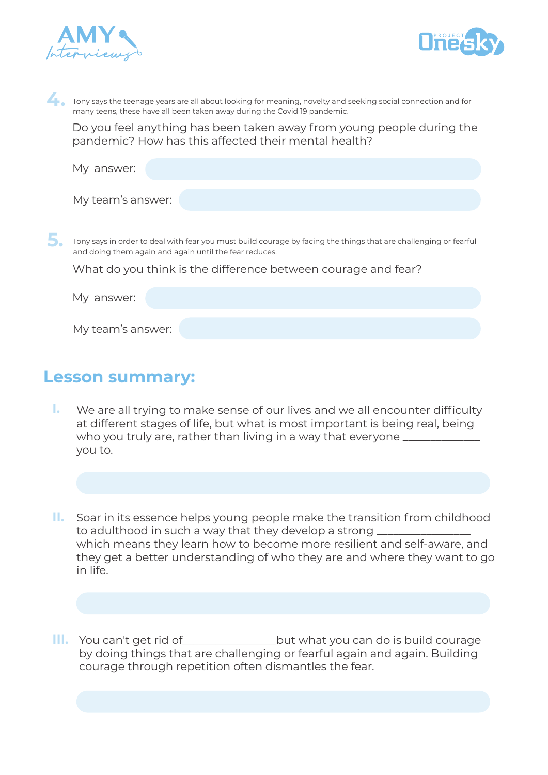

**5.**



Tony says the teenage years are all about looking for meaning, novelty and seeking social connection and for many teens, these have all been taken away during the Covid 19 pandemic.

Do you feel anything has been taken away from young people during the pandemic? How has this affected their mental health?

| answer:                                                                                                                                                                    |
|----------------------------------------------------------------------------------------------------------------------------------------------------------------------------|
| My team's answer:                                                                                                                                                          |
| Tony says in order to deal with fear you must build courage by facing the things that are challenging or fearful<br>and doing them again and again until the fear reduces. |
| What do you think is the difference between courage and fear?                                                                                                              |
| answer:                                                                                                                                                                    |

My team's answer:

#### **Lesson summary:**

- We are all trying to make sense of our lives and we all encounter difficulty **I.** at different stages of life, but what is most important is being real, being who you truly are, rather than living in a way that everyone  $\equiv$ you to.
- Soar in its essence helps young people make the transition from childhood **II.** to adulthood in such a way that they develop a strong \_\_\_\_\_\_\_\_\_\_\_\_\_\_\_\_\_\_\_\_\_\_\_\_\_\_ which means they learn how to become more resilient and self-aware, and they get a better understanding of who they are and where they want to go in life.
- but what you can do is build courage by doing things that are challenging or fearful again and again. Building courage through repetition often dismantles the fear. **III.** You can't get rid of